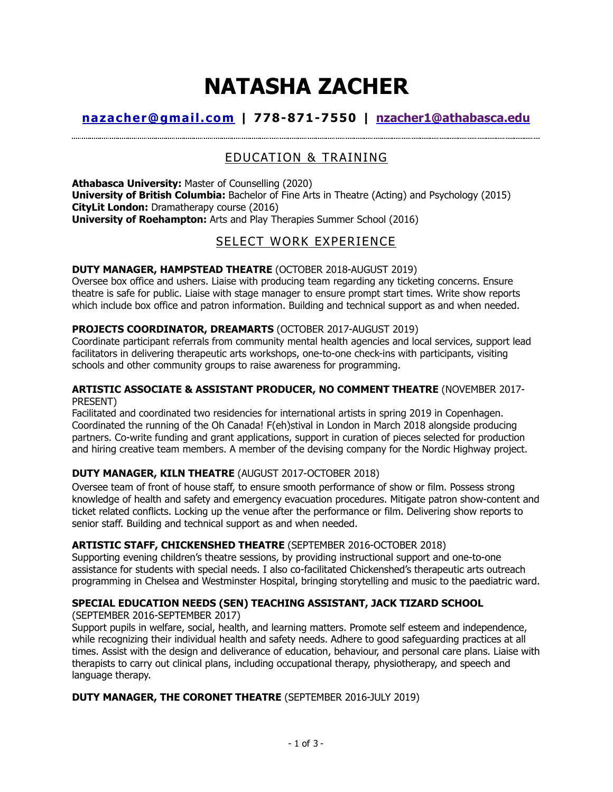# **NATASHA ZACHER**

# **[nazacher@gmail.com](mailto:nazacher@gmail.com) | 778-871-7550 | [nzacher1@athabasca.edu](mailto:nzacher1@athabasca.edu)**

# EDUCATION & TRAINING

**Athabasca University:** Master of Counselling (2020) **University of British Columbia:** Bachelor of Fine Arts in Theatre (Acting) and Psychology (2015) **CityLit London:** Dramatherapy course (2016) **University of Roehampton:** Arts and Play Therapies Summer School (2016)

# SELECT WORK EXPERIENCE

# **DUTY MANAGER, HAMPSTEAD THEATRE** (OCTOBER 2018-AUGUST 2019)

Oversee box office and ushers. Liaise with producing team regarding any ticketing concerns. Ensure theatre is safe for public. Liaise with stage manager to ensure prompt start times. Write show reports which include box office and patron information. Building and technical support as and when needed.

# **PROJECTS COORDINATOR, DREAMARTS** (OCTOBER 2017-AUGUST 2019)

Coordinate participant referrals from community mental health agencies and local services, support lead facilitators in delivering therapeutic arts workshops, one-to-one check-ins with participants, visiting schools and other community groups to raise awareness for programming.

## **ARTISTIC ASSOCIATE & ASSISTANT PRODUCER, NO COMMENT THEATRE** (NOVEMBER 2017- PRESENT)

Facilitated and coordinated two residencies for international artists in spring 2019 in Copenhagen. Coordinated the running of the Oh Canada! F(eh)stival in London in March 2018 alongside producing partners. Co-write funding and grant applications, support in curation of pieces selected for production and hiring creative team members. A member of the devising company for the Nordic Highway project.

# **DUTY MANAGER, KILN THEATRE** (AUGUST 2017-OCTOBER 2018)

Oversee team of front of house staff, to ensure smooth performance of show or film. Possess strong knowledge of health and safety and emergency evacuation procedures. Mitigate patron show-content and ticket related conflicts. Locking up the venue after the performance or film. Delivering show reports to senior staff. Building and technical support as and when needed.

# **ARTISTIC STAFF, CHICKENSHED THEATRE** (SEPTEMBER 2016-OCTOBER 2018)

Supporting evening children's theatre sessions, by providing instructional support and one-to-one assistance for students with special needs. I also co-facilitated Chickenshed's therapeutic arts outreach programming in Chelsea and Westminster Hospital, bringing storytelling and music to the paediatric ward.

# **SPECIAL EDUCATION NEEDS (SEN) TEACHING ASSISTANT, JACK TIZARD SCHOOL**

(SEPTEMBER 2016-SEPTEMBER 2017)

Support pupils in welfare, social, health, and learning matters. Promote self esteem and independence, while recognizing their individual health and safety needs. Adhere to good safeguarding practices at all times. Assist with the design and deliverance of education, behaviour, and personal care plans. Liaise with therapists to carry out clinical plans, including occupational therapy, physiotherapy, and speech and language therapy.

# **DUTY MANAGER, THE CORONET THEATRE** (SEPTEMBER 2016-JULY 2019)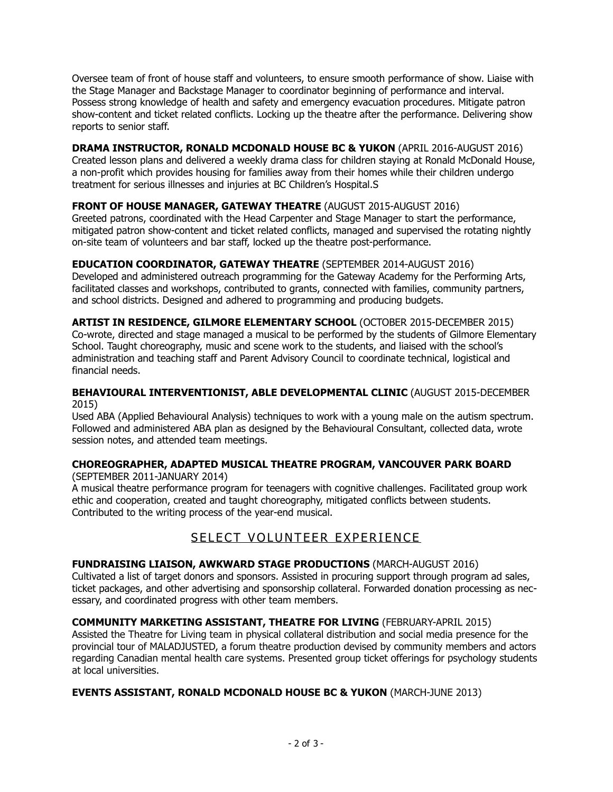Oversee team of front of house staff and volunteers, to ensure smooth performance of show. Liaise with the Stage Manager and Backstage Manager to coordinator beginning of performance and interval. Possess strong knowledge of health and safety and emergency evacuation procedures. Mitigate patron show-content and ticket related conflicts. Locking up the theatre after the performance. Delivering show reports to senior staff.

# **DRAMA INSTRUCTOR, RONALD MCDONALD HOUSE BC & YUKON** (APRIL 2016-AUGUST 2016)

Created lesson plans and delivered a weekly drama class for children staying at Ronald McDonald House, a non-profit which provides housing for families away from their homes while their children undergo treatment for serious illnesses and injuries at BC Children's Hospital.S

# **FRONT OF HOUSE MANAGER, GATEWAY THEATRE** (AUGUST 2015-AUGUST 2016)

Greeted patrons, coordinated with the Head Carpenter and Stage Manager to start the performance, mitigated patron show-content and ticket related conflicts, managed and supervised the rotating nightly on-site team of volunteers and bar staff, locked up the theatre post-performance.

## **EDUCATION COORDINATOR, GATEWAY THEATRE** (SEPTEMBER 2014-AUGUST 2016)

Developed and administered outreach programming for the Gateway Academy for the Performing Arts, facilitated classes and workshops, contributed to grants, connected with families, community partners, and school districts. Designed and adhered to programming and producing budgets.

#### **ARTIST IN RESIDENCE, GILMORE ELEMENTARY SCHOOL** (OCTOBER 2015-DECEMBER 2015) Co-wrote, directed and stage managed a musical to be performed by the students of Gilmore Elementary School. Taught choreography, music and scene work to the students, and liaised with the school's administration and teaching staff and Parent Advisory Council to coordinate technical, logistical and financial needs.

## **BEHAVIOURAL INTERVENTIONIST, ABLE DEVELOPMENTAL CLINIC** (AUGUST 2015-DECEMBER 2015)

Used ABA (Applied Behavioural Analysis) techniques to work with a young male on the autism spectrum. Followed and administered ABA plan as designed by the Behavioural Consultant, collected data, wrote session notes, and attended team meetings.

# **CHOREOGRAPHER, ADAPTED MUSICAL THEATRE PROGRAM, VANCOUVER PARK BOARD**

(SEPTEMBER 2011-JANUARY 2014)

A musical theatre performance program for teenagers with cognitive challenges. Facilitated group work ethic and cooperation, created and taught choreography, mitigated conflicts between students. Contributed to the writing process of the year-end musical.

# SELECT VOLUNTEER EXPERIENCE

# **FUNDRAISING LIAISON, AWKWARD STAGE PRODUCTIONS** (MARCH-AUGUST 2016)

Cultivated a list of target donors and sponsors. Assisted in procuring support through program ad sales, ticket packages, and other advertising and sponsorship collateral. Forwarded donation processing as necessary, and coordinated progress with other team members.

## **COMMUNITY MARKETING ASSISTANT, THEATRE FOR LIVING** (FEBRUARY-APRIL 2015)

Assisted the Theatre for Living team in physical collateral distribution and social media presence for the provincial tour of MALADJUSTED, a forum theatre production devised by community members and actors regarding Canadian mental health care systems. Presented group ticket offerings for psychology students at local universities.

## **EVENTS ASSISTANT, RONALD MCDONALD HOUSE BC & YUKON** (MARCH-JUNE 2013)